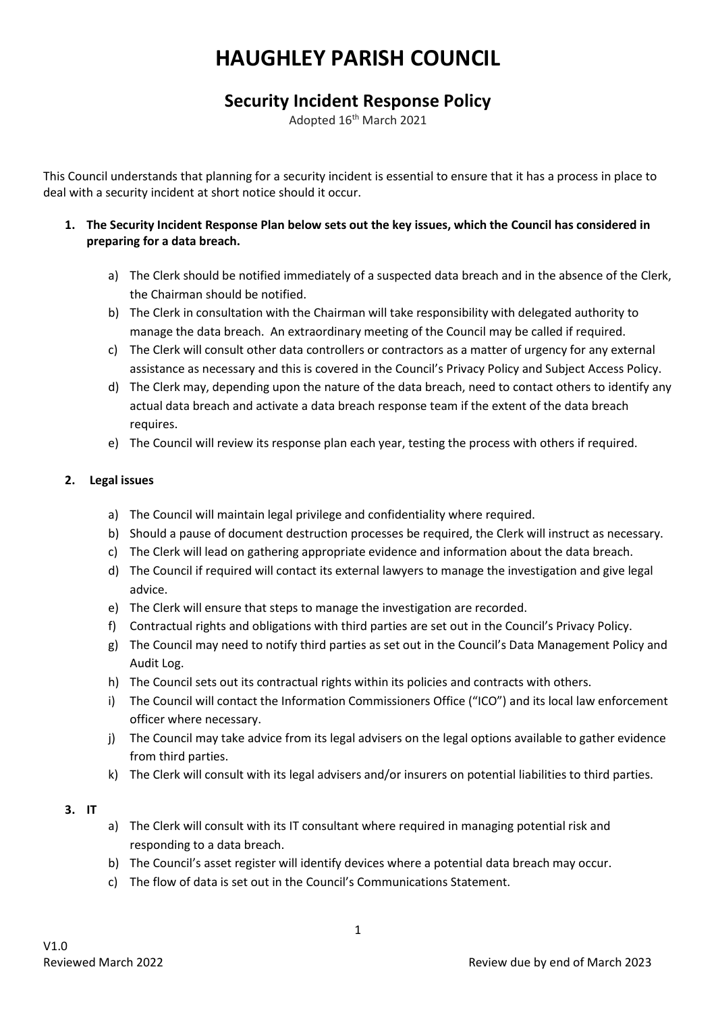# **HAUGHLEY PARISH COUNCIL**

# **Security Incident Response Policy**

Adopted 16th March 2021

This Council understands that planning for a security incident is essential to ensure that it has a process in place to deal with a security incident at short notice should it occur.

- **1. The Security Incident Response Plan below sets out the key issues, which the Council has considered in preparing for a data breach.** 
	- a) The Clerk should be notified immediately of a suspected data breach and in the absence of the Clerk, the Chairman should be notified.
	- b) The Clerk in consultation with the Chairman will take responsibility with delegated authority to manage the data breach. An extraordinary meeting of the Council may be called if required.
	- c) The Clerk will consult other data controllers or contractors as a matter of urgency for any external assistance as necessary and this is covered in the Council's Privacy Policy and Subject Access Policy.
	- d) The Clerk may, depending upon the nature of the data breach, need to contact others to identify any actual data breach and activate a data breach response team if the extent of the data breach requires.
	- e) The Council will review its response plan each year, testing the process with others if required.

# **2. Legal issues**

- a) The Council will maintain legal privilege and confidentiality where required.
- b) Should a pause of document destruction processes be required, the Clerk will instruct as necessary.
- c) The Clerk will lead on gathering appropriate evidence and information about the data breach.
- d) The Council if required will contact its external lawyers to manage the investigation and give legal advice.
- e) The Clerk will ensure that steps to manage the investigation are recorded.
- f) Contractual rights and obligations with third parties are set out in the Council's Privacy Policy.
- g) The Council may need to notify third parties as set out in the Council's Data Management Policy and Audit Log.
- h) The Council sets out its contractual rights within its policies and contracts with others.
- i) The Council will contact the Information Commissioners Office ("ICO") and its local law enforcement officer where necessary.
- j) The Council may take advice from its legal advisers on the legal options available to gather evidence from third parties.
- k) The Clerk will consult with its legal advisers and/or insurers on potential liabilities to third parties.

#### **3. IT**

- a) The Clerk will consult with its IT consultant where required in managing potential risk and responding to a data breach.
- b) The Council's asset register will identify devices where a potential data breach may occur.
- c) The flow of data is set out in the Council's Communications Statement.